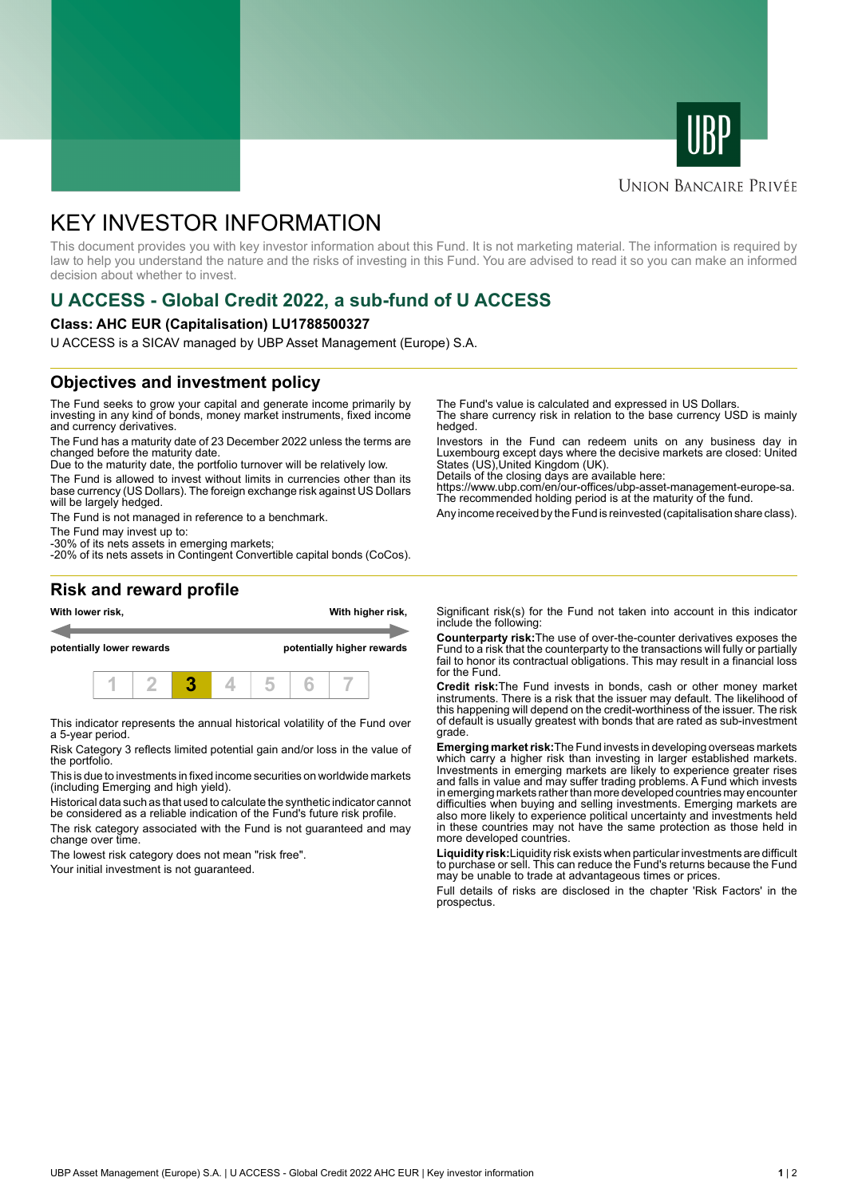



#### **UNION BANCAIRE PRIVÉE**

# KEY INVESTOR INFORMATION

This document provides you with key investor information about this Fund. It is not marketing material. The information is required by law to help you understand the nature and the risks of investing in this Fund. You are advised to read it so you can make an informed decision about whether to invest.

## **U ACCESS - Global Credit 2022, a sub-fund of U ACCESS**

#### **Class: AHC EUR (Capitalisation) LU1788500327**

U ACCESS is a SICAV managed by UBP Asset Management (Europe) S.A.

### **Objectives and investment policy**

The Fund seeks to grow your capital and generate income primarily by investing in any kind of bonds, money market instruments, fixed income and currency derivatives.

The Fund has a maturity date of 23 December 2022 unless the terms are changed before the maturity date.

Due to the maturity date, the portfolio turnover will be relatively low.

The Fund is allowed to invest without limits in currencies other than its base currency (US Dollars). The foreign exchange risk against US Dollars will be largely hedged.

The Fund is not managed in reference to a benchmark.

The Fund may invest up to:

-30% of its nets assets in emerging markets; -20% of its nets assets in Contingent Convertible capital bonds (CoCos). The Fund's value is calculated and expressed in US Dollars.

The share currency risk in relation to the base currency USD is mainly hedged.

Investors in the Fund can redeem units on any business day in Luxembourg except days where the decisive markets are closed: United States (US),United Kingdom (UK).

Details of the closing days are available here:

https://www.ubp.com/en/our-offices/ubp-asset-management-europe-sa. The recommended holding period is at the maturity of the fund.

Any income received by the Fund is reinvested (capitalisation share class).

#### **Risk and reward profile**



This indicator represents the annual historical volatility of the Fund over a 5-year period.

Risk Category 3 reflects limited potential gain and/or loss in the value of the portfolio.

This is due to investments in fixed income securities on worldwide markets (including Emerging and high yield).

Historical data such as that used to calculate the synthetic indicator cannot be considered as a reliable indication of the Fund's future risk profile.

The risk category associated with the Fund is not guaranteed and may change over time.

The lowest risk category does not mean "risk free".

Your initial investment is not guaranteed.

Significant risk(s) for the Fund not taken into account in this indicator include the following:

**Counterparty risk:**The use of over-the-counter derivatives exposes the Fund to a risk that the counterparty to the transactions will fully or partially fail to honor its contractual obligations. This may result in a financial loss for the Fund.

**Credit risk:**The Fund invests in bonds, cash or other money market instruments. There is a risk that the issuer may default. The likelihood of this happening will depend on the credit-worthiness of the issuer. The risk of default is usually greatest with bonds that are rated as sub-investment grade.

**Emerging market risk:**The Fund invests in developing overseas markets which carry a higher risk than investing in larger established markets. Investments in emerging markets are likely to experience greater rises and falls in value and may suffer trading problems. A Fund which invests in emerging markets rather than more developed countries may encounter difficulties when buying and selling investments. Emerging markets are also more likely to experience political uncertainty and investments held in these countries may not have the same protection as those held in more developed countries.

**Liquidity risk:**Liquidity risk exists when particular investments are difficult to purchase or sell. This can reduce the Fund's returns because the Fund may be unable to trade at advantageous times or prices

Full details of risks are disclosed in the chapter 'Risk Factors' in the prospectus.